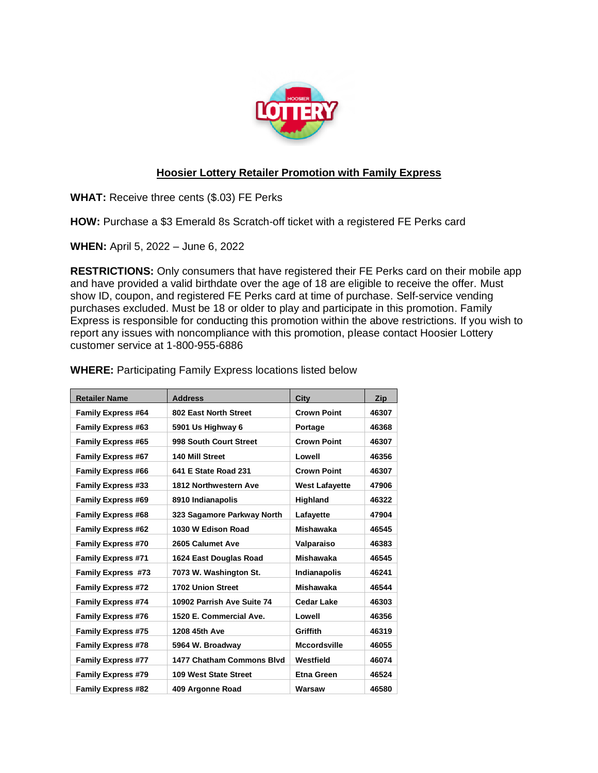

## **Hoosier Lottery Retailer Promotion with Family Express**

**WHAT:** Receive three cents (\$.03) FE Perks

**HOW:** Purchase a \$3 Emerald 8s Scratch-off ticket with a registered FE Perks card

**WHEN:** April 5, 2022 – June 6, 2022

**RESTRICTIONS:** Only consumers that have registered their FE Perks card on their mobile app and have provided a valid birthdate over the age of 18 are eligible to receive the offer. Must show ID, coupon, and registered FE Perks card at time of purchase. Self-service vending purchases excluded. Must be 18 or older to play and participate in this promotion. Family Express is responsible for conducting this promotion within the above restrictions. If you wish to report any issues with noncompliance with this promotion, please contact Hoosier Lottery customer service at 1-800-955-6886

| <b>Retailer Name</b>      | <b>Address</b>                   | City                  | <b>Zip</b> |
|---------------------------|----------------------------------|-----------------------|------------|
| <b>Family Express #64</b> | 802 East North Street            | <b>Crown Point</b>    | 46307      |
| <b>Family Express #63</b> | 5901 Us Highway 6                | Portage               | 46368      |
| <b>Family Express #65</b> | 998 South Court Street           | <b>Crown Point</b>    | 46307      |
| <b>Family Express #67</b> | 140 Mill Street                  | Lowell                | 46356      |
| <b>Family Express #66</b> | 641 E State Road 231             | <b>Crown Point</b>    | 46307      |
| <b>Family Express #33</b> | 1812 Northwestern Ave            | <b>West Lafayette</b> | 47906      |
| <b>Family Express #69</b> | 8910 Indianapolis                | Highland              | 46322      |
| <b>Family Express #68</b> | 323 Sagamore Parkway North       | Lafayette             | 47904      |
| <b>Family Express #62</b> | 1030 W Edison Road               | <b>Mishawaka</b>      | 46545      |
| <b>Family Express #70</b> | 2605 Calumet Ave                 | Valparaiso            | 46383      |
| <b>Family Express #71</b> | 1624 East Douglas Road           | <b>Mishawaka</b>      | 46545      |
| <b>Family Express #73</b> | 7073 W. Washington St.           | <b>Indianapolis</b>   | 46241      |
| <b>Family Express #72</b> | 1702 Union Street                | <b>Mishawaka</b>      | 46544      |
| <b>Family Express #74</b> | 10902 Parrish Ave Suite 74       | <b>Cedar Lake</b>     | 46303      |
| <b>Family Express #76</b> | 1520 E. Commercial Ave.          | Lowell                | 46356      |
| <b>Family Express #75</b> | 1208 45th Ave                    | Griffith              | 46319      |
| <b>Family Express #78</b> | 5964 W. Broadway                 | <b>Mccordsville</b>   | 46055      |
| <b>Family Express #77</b> | <b>1477 Chatham Commons Blvd</b> | Westfield             | 46074      |
| <b>Family Express #79</b> | <b>109 West State Street</b>     | <b>Etna Green</b>     | 46524      |
| <b>Family Express #82</b> | 409 Argonne Road                 | Warsaw                | 46580      |

**WHERE:** Participating Family Express locations listed below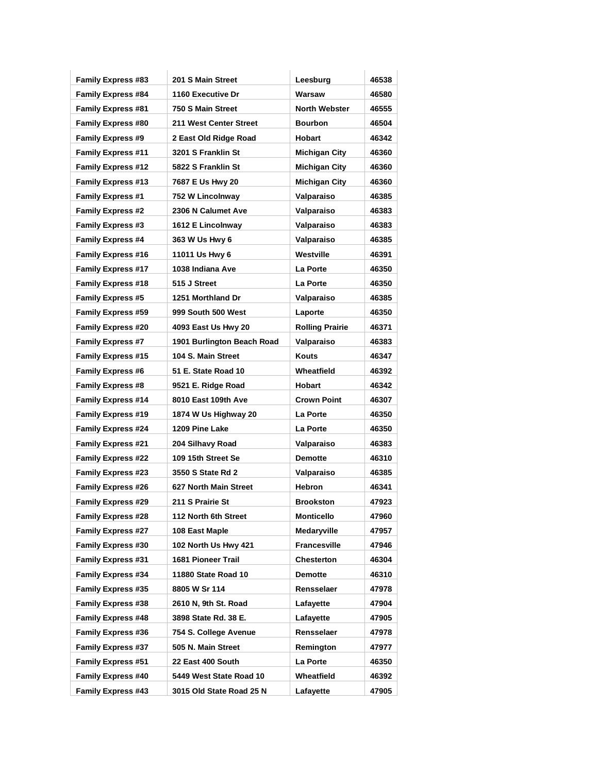| <b>Family Express #83</b> | 201 S Main Street          | Leesburg               | 46538 |
|---------------------------|----------------------------|------------------------|-------|
| <b>Family Express #84</b> | 1160 Executive Dr          | Warsaw                 | 46580 |
| <b>Family Express #81</b> | 750 S Main Street          | <b>North Webster</b>   | 46555 |
| <b>Family Express #80</b> | 211 West Center Street     | <b>Bourbon</b>         | 46504 |
| <b>Family Express #9</b>  | 2 East Old Ridge Road      | Hobart                 | 46342 |
| <b>Family Express #11</b> | 3201 S Franklin St         | <b>Michigan City</b>   | 46360 |
| <b>Family Express #12</b> | 5822 S Franklin St         | Michigan City          | 46360 |
| <b>Family Express #13</b> | 7687 E Us Hwy 20           | <b>Michigan City</b>   | 46360 |
| <b>Family Express #1</b>  | 752 W Lincolnway           | Valparaiso             | 46385 |
| <b>Family Express #2</b>  | 2306 N Calumet Ave         | Valparaiso             | 46383 |
| <b>Family Express #3</b>  | 1612 E Lincolnway          | Valparaiso             | 46383 |
| <b>Family Express #4</b>  | 363 W Us Hwy 6             | Valparaiso             | 46385 |
| <b>Family Express #16</b> | 11011 Us Hwy 6             | Westville              | 46391 |
| <b>Family Express #17</b> | 1038 Indiana Ave           | La Porte               | 46350 |
| <b>Family Express #18</b> | 515 J Street               | La Porte               | 46350 |
| <b>Family Express #5</b>  | 1251 Morthland Dr          | Valparaiso             | 46385 |
| <b>Family Express #59</b> | 999 South 500 West         | Laporte                | 46350 |
| <b>Family Express #20</b> | 4093 East Us Hwy 20        | <b>Rolling Prairie</b> | 46371 |
| <b>Family Express #7</b>  | 1901 Burlington Beach Road | Valparaiso             | 46383 |
| <b>Family Express #15</b> | 104 S. Main Street         | Kouts                  | 46347 |
| <b>Family Express #6</b>  | 51 E. State Road 10        | Wheatfield             | 46392 |
| <b>Family Express #8</b>  | 9521 E. Ridge Road         | <b>Hobart</b>          | 46342 |
| <b>Family Express #14</b> | 8010 East 109th Ave        | <b>Crown Point</b>     | 46307 |
| <b>Family Express #19</b> | 1874 W Us Highway 20       | La Porte               | 46350 |
| <b>Family Express #24</b> | 1209 Pine Lake             | La Porte               | 46350 |
| <b>Family Express #21</b> | 204 Silhavy Road           | Valparaiso             | 46383 |
| <b>Family Express #22</b> | 109 15th Street Se         | <b>Demotte</b>         | 46310 |
| <b>Family Express #23</b> | 3550 S State Rd 2          | Valparaiso             | 46385 |
| <b>Family Express #26</b> | 627 North Main Street      | <b>Hebron</b>          | 46341 |
| <b>Family Express #29</b> | 211 S Prairie St           | <b>Brookston</b>       | 47923 |
| <b>Family Express #28</b> | 112 North 6th Street       | <b>Monticello</b>      | 47960 |
| <b>Family Express #27</b> | 108 East Maple             | Medaryville            | 47957 |
| <b>Family Express #30</b> | 102 North Us Hwy 421       | <b>Francesville</b>    | 47946 |
| <b>Family Express #31</b> | 1681 Pioneer Trail         | Chesterton             | 46304 |
| <b>Family Express #34</b> | 11880 State Road 10        | Demotte                | 46310 |
| <b>Family Express #35</b> | 8805 W Sr 114              | Rensselaer             | 47978 |
| <b>Family Express #38</b> | 2610 N, 9th St. Road       | Lafayette              | 47904 |
| <b>Family Express #48</b> | 3898 State Rd. 38 E.       | Lafayette              | 47905 |
| <b>Family Express #36</b> | 754 S. College Avenue      | Rensselaer             | 47978 |
| <b>Family Express #37</b> | 505 N. Main Street         | Remington              | 47977 |
| <b>Family Express #51</b> | 22 East 400 South          | La Porte               | 46350 |
| <b>Family Express #40</b> | 5449 West State Road 10    | Wheatfield             | 46392 |
| <b>Family Express #43</b> | 3015 Old State Road 25 N   | Lafayette              | 47905 |